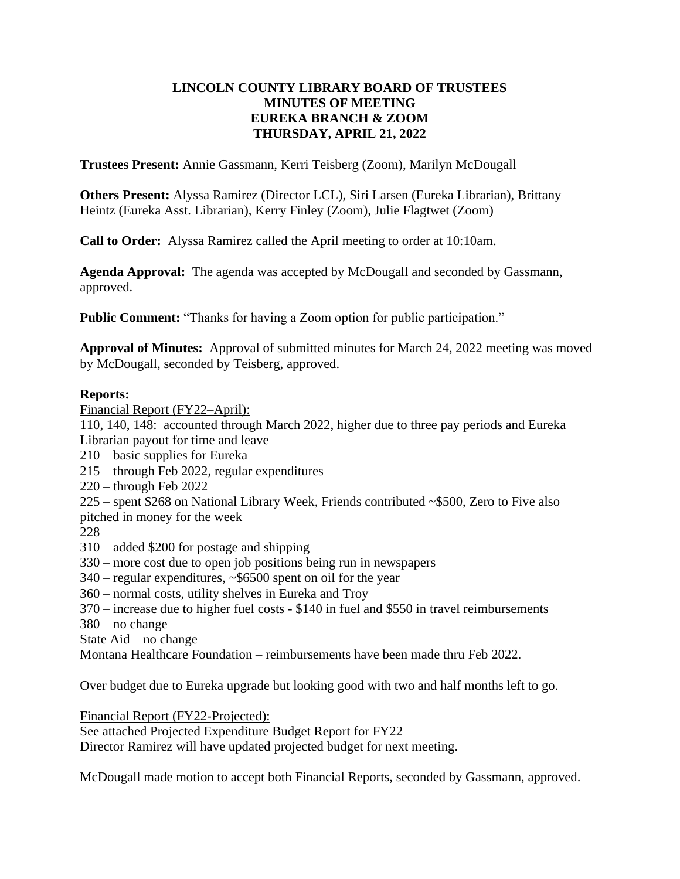### **LINCOLN COUNTY LIBRARY BOARD OF TRUSTEES MINUTES OF MEETING EUREKA BRANCH & ZOOM THURSDAY, APRIL 21, 2022**

**Trustees Present:** Annie Gassmann, Kerri Teisberg (Zoom), Marilyn McDougall

**Others Present:** Alyssa Ramirez (Director LCL), Siri Larsen (Eureka Librarian), Brittany Heintz (Eureka Asst. Librarian), Kerry Finley (Zoom), Julie Flagtwet (Zoom)

**Call to Order:** Alyssa Ramirez called the April meeting to order at 10:10am.

**Agenda Approval:** The agenda was accepted by McDougall and seconded by Gassmann, approved.

**Public Comment:** "Thanks for having a Zoom option for public participation."

**Approval of Minutes:** Approval of submitted minutes for March 24, 2022 meeting was moved by McDougall, seconded by Teisberg, approved.

#### **Reports:**

Financial Report (FY22–April):

110, 140, 148: accounted through March 2022, higher due to three pay periods and Eureka Librarian payout for time and leave

- 210 basic supplies for Eureka
- 215 through Feb 2022, regular expenditures
- 220 through Feb 2022

225 – spent \$268 on National Library Week, Friends contributed ~\$500, Zero to Five also pitched in money for the week

 $228 -$ 

- 310 added \$200 for postage and shipping
- 330 more cost due to open job positions being run in newspapers
- 340 regular expenditures, ~\$6500 spent on oil for the year
- 360 normal costs, utility shelves in Eureka and Troy
- 370 increase due to higher fuel costs \$140 in fuel and \$550 in travel reimbursements
- 380 no change
- State Aid no change
- Montana Healthcare Foundation reimbursements have been made thru Feb 2022.

Over budget due to Eureka upgrade but looking good with two and half months left to go.

Financial Report (FY22-Projected):

See attached Projected Expenditure Budget Report for FY22

Director Ramirez will have updated projected budget for next meeting.

McDougall made motion to accept both Financial Reports, seconded by Gassmann, approved.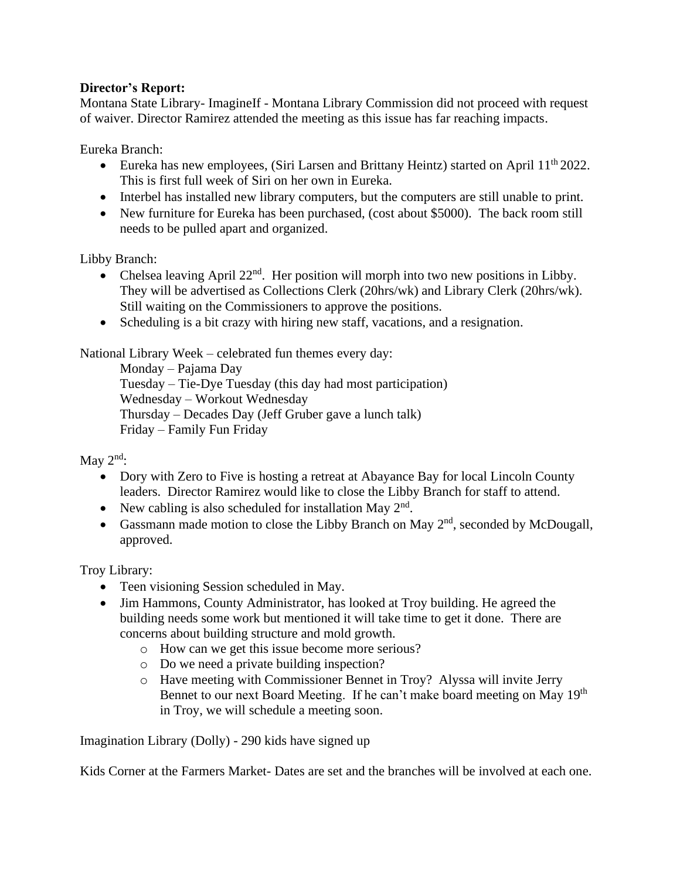## **Director's Report:**

Montana State Library- ImagineIf - Montana Library Commission did not proceed with request of waiver. Director Ramirez attended the meeting as this issue has far reaching impacts.

Eureka Branch:

- Eureka has new employees, (Siri Larsen and Brittany Heintz) started on April  $11<sup>th</sup> 2022$ . This is first full week of Siri on her own in Eureka.
- Interbel has installed new library computers, but the computers are still unable to print.
- New furniture for Eureka has been purchased, (cost about \$5000). The back room still needs to be pulled apart and organized.

Libby Branch:

- Chelsea leaving April  $22<sup>nd</sup>$ . Her position will morph into two new positions in Libby. They will be advertised as Collections Clerk (20hrs/wk) and Library Clerk (20hrs/wk). Still waiting on the Commissioners to approve the positions.
- Scheduling is a bit crazy with hiring new staff, vacations, and a resignation.

National Library Week – celebrated fun themes every day:

Monday – Pajama Day Tuesday – Tie-Dye Tuesday (this day had most participation) Wednesday – Workout Wednesday Thursday – Decades Day (Jeff Gruber gave a lunch talk) Friday – Family Fun Friday

May  $2<sup>nd</sup>$ :

- Dory with Zero to Five is hosting a retreat at Abayance Bay for local Lincoln County leaders. Director Ramirez would like to close the Libby Branch for staff to attend.
- New cabling is also scheduled for installation May  $2<sup>nd</sup>$ .
- Gassmann made motion to close the Libby Branch on May  $2<sup>nd</sup>$ , seconded by McDougall, approved.

Troy Library:

- Teen visioning Session scheduled in May.
- Jim Hammons, County Administrator, has looked at Troy building. He agreed the building needs some work but mentioned it will take time to get it done. There are concerns about building structure and mold growth.
	- o How can we get this issue become more serious?
	- o Do we need a private building inspection?
	- o Have meeting with Commissioner Bennet in Troy? Alyssa will invite Jerry Bennet to our next Board Meeting. If he can't make board meeting on May 19<sup>th</sup> in Troy, we will schedule a meeting soon.

Imagination Library (Dolly) - 290 kids have signed up

Kids Corner at the Farmers Market- Dates are set and the branches will be involved at each one.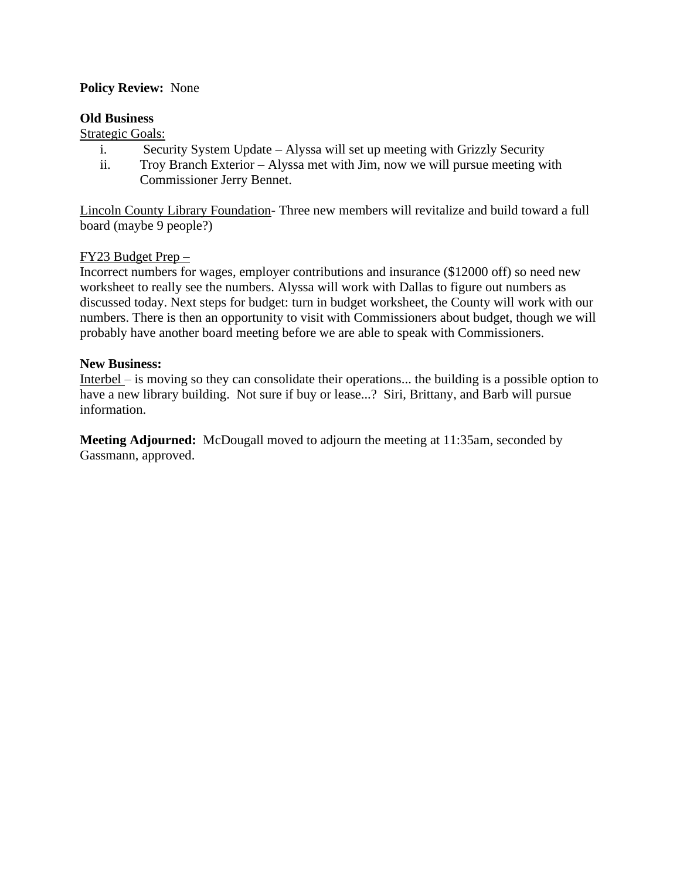### **Policy Review:** None

#### **Old Business**

#### Strategic Goals:

- i. Security System Update Alyssa will set up meeting with Grizzly Security
- ii. Troy Branch Exterior Alyssa met with Jim, now we will pursue meeting with Commissioner Jerry Bennet.

Lincoln County Library Foundation- Three new members will revitalize and build toward a full board (maybe 9 people?)

#### FY23 Budget Prep –

Incorrect numbers for wages, employer contributions and insurance (\$12000 off) so need new worksheet to really see the numbers. Alyssa will work with Dallas to figure out numbers as discussed today. Next steps for budget: turn in budget worksheet, the County will work with our numbers. There is then an opportunity to visit with Commissioners about budget, though we will probably have another board meeting before we are able to speak with Commissioners.

#### **New Business:**

Interbel – is moving so they can consolidate their operations... the building is a possible option to have a new library building. Not sure if buy or lease...? Siri, Brittany, and Barb will pursue information.

**Meeting Adjourned:** McDougall moved to adjourn the meeting at 11:35am, seconded by Gassmann, approved.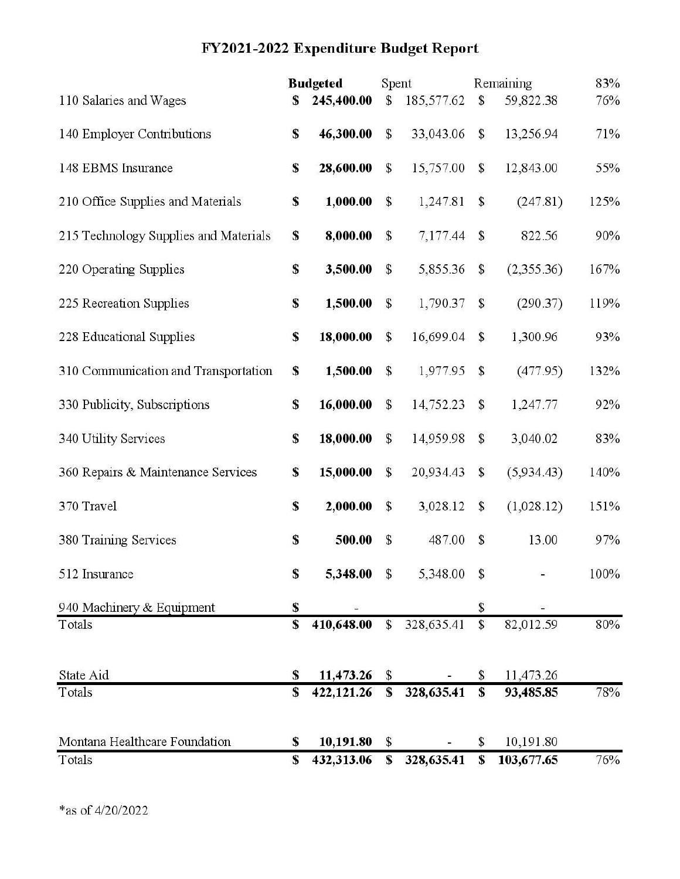# FY2021-2022 Expenditure Budget Report

|                                       | <b>Budgeted</b> |             | Spent         |            |               | Remaining  | 83%  |
|---------------------------------------|-----------------|-------------|---------------|------------|---------------|------------|------|
| 110 Salaries and Wages                | S               | 245,400.00  | $\mathsf{\$}$ | 185,577.62 | \$            | 59,822.38  | 76%  |
| 140 Employer Contributions            | \$              | 46,300.00   | $\mathcal{S}$ | 33,043.06  | \$            | 13,256.94  | 71%  |
| 148 EBMS Insurance                    | \$              | 28,600.00   | \$            | 15,757.00  | \$            | 12,843.00  | 55%  |
| 210 Office Supplies and Materials     | S               | 1,000.00    | $\mathsf{\$}$ | 1,247.81   | \$            | (247.81)   | 125% |
| 215 Technology Supplies and Materials | S               | 8,000.00    | \$            | 7,177.44   | \$            | 822.56     | 90%  |
| 220 Operating Supplies                | $\mathbf{s}$    | 3,500.00    | $\mathsf{\$}$ | 5,855.36   | \$            | (2,355.36) | 167% |
| 225 Recreation Supplies               | \$              | 1,500.00    | $\mathbb{S}$  | 1,790.37   | \$            | (290.37)   | 119% |
| 228 Educational Supplies              | \$              | 18,000.00   | $\mathcal{S}$ | 16,699.04  | \$            | 1,300.96   | 93%  |
| 310 Communication and Transportation  | $\mathbf{s}$    | 1,500.00    | $\mathsf{\$}$ | 1,977.95   | $\mathsf{\$}$ | (477.95)   | 132% |
| 330 Publicity, Subscriptions          | \$              | 16,000.00   | $\mathbb{S}$  | 14,752.23  | $\mathbb{S}$  | 1,247.77   | 92%  |
| 340 Utility Services                  | \$              | 18,000.00   | $\mathsf{\$}$ | 14,959.98  | \$            | 3,040.02   | 83%  |
| 360 Repairs & Maintenance Services    | \$              | 15,000.00   | $\mathsf{\$}$ | 20,934.43  | \$            | (5,934.43) | 140% |
| 370 Travel                            | $\mathbf{s}$    | 2,000.00    | $\mathsf{\$}$ | 3,028.12   | \$            | (1,028.12) | 151% |
| 380 Training Services                 | $\mathbf S$     | 500.00      | $\mathsf{\$}$ | 487.00     | $\mathbb{S}$  | 13.00      | 97%  |
| 512 Insurance                         | $\mathbf S$     | 5,348.00 \$ |               | 5,348.00   | $\mathbb S$   |            | 100% |
| 940 Machinery & Equipment             | \$              |             |               |            | \$            |            |      |
| Totals                                | \$              | 410,648.00  | $\mathbb{S}$  | 328,635.41 | $\mathbb{S}$  | 82,012.59  | 80%  |
| State Aid                             | \$              | 11,473.26   | \$            |            | \$            | 11,473.26  |      |
| Totals                                | \$              | 422,121.26  | \$            | 328,635.41 | \$            | 93,485.85  | 78%  |
| Montana Healthcare Foundation         | \$              | 10,191.80   | \$            |            | \$            | 10,191.80  |      |
| Totals                                | \$              | 432,313.06  | \$            | 328,635.41 | \$            | 103,677.65 | 76%  |
|                                       |                 |             |               |            |               |            |      |

 $*$ as of 4/20/2022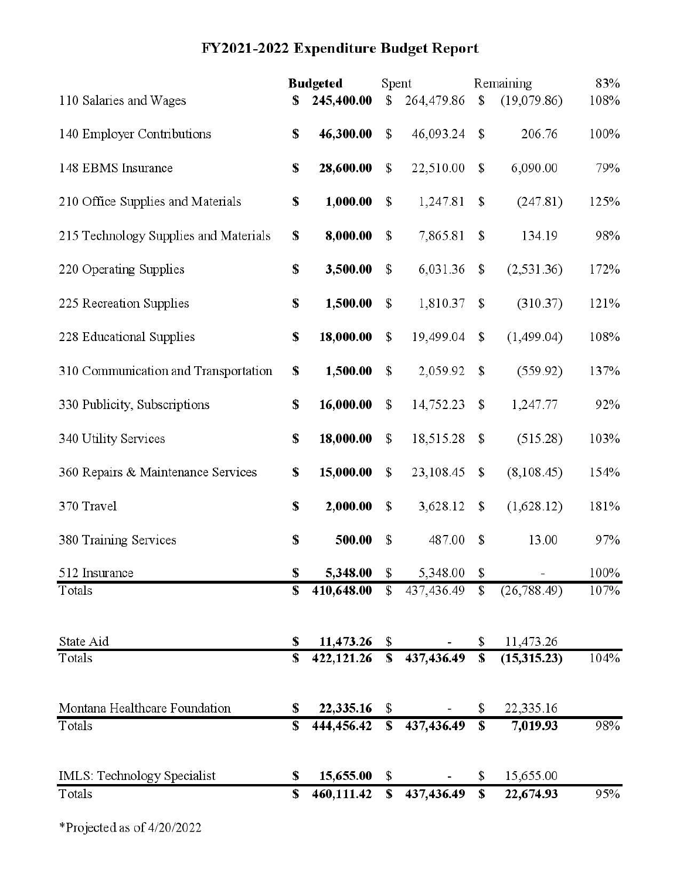# FY2021-2022 Expenditure Budget Report

|                                       | <b>Budgeted</b> |                  | Spent                   |            |                         | Remaining    | 83%  |
|---------------------------------------|-----------------|------------------|-------------------------|------------|-------------------------|--------------|------|
| 110 Salaries and Wages                | S               | 245,400.00       | $\mathsf{\$}$           | 264,479.86 | $\mathbb{S}$            | (19,079.86)  | 108% |
| 140 Employer Contributions            | \$              | 46,300.00        | $\mathsf{\$}$           | 46,093.24  | \$                      | 206.76       | 100% |
| 148 EBMS Insurance                    | \$              | 28,600.00        | $\mathbb{S}$            | 22,510.00  | \$                      | 6,090.00     | 79%  |
| 210 Office Supplies and Materials     | S               | 1,000.00         | \$                      | 1,247.81   | \$                      | (247.81)     | 125% |
| 215 Technology Supplies and Materials | S               | 8,000.00         | \$                      | 7,865.81   | \$                      | 134.19       | 98%  |
| 220 Operating Supplies                | \$              | 3,500.00         | $\mathsf{\$}$           | 6,031.36   | \$                      | (2, 531.36)  | 172% |
| 225 Recreation Supplies               | \$              | 1,500.00         | \$                      | 1,810.37   | \$                      | (310.37)     | 121% |
| 228 Educational Supplies              | $\mathbf S$     | 18,000.00        | $\mathcal{S}$           | 19,499.04  | \$                      | (1,499.04)   | 108% |
| 310 Communication and Transportation  | \$              | 1,500.00         | $\mathcal{S}$           | 2,059.92   | $\mathsf{S}$            | (559.92)     | 137% |
| 330 Publicity, Subscriptions          | \$              | 16,000.00        | $\mathbb{S}$            | 14,752.23  | \$                      | 1,247.77     | 92%  |
| 340 Utility Services                  | $\mathbf{s}$    | 18,000.00        | $\mathsf{\$}$           | 18,515.28  | \$                      | (515.28)     | 103% |
| 360 Repairs & Maintenance Services    | \$              | 15,000.00        | $\mathsf{\$}$           | 23,108.45  | \$                      | (8,108.45)   | 154% |
| 370 Travel                            | $\mathbf{s}$    | 2,000.00         | $\mathsf{\$}$           | 3,628.12   | \$                      | (1,628.12)   | 181% |
| 380 Training Services                 | \$              | 500.00           | $\mathcal{S}$           | 487.00     | \$                      | 13.00        | 97%  |
| 512 Insurance                         | \$              | 5,348.00         | \$                      | 5,348.00   | \$                      |              | 100% |
| Totals                                | S               | 410,648.00       | $\mathbb{S}$            | 437,436.49 | $\mathbb{S}$            | (26, 788.49) | 107% |
| State Aid                             | S               | 11,473.26        | $\mathcal{S}$           |            | \$                      | 11,473.26    |      |
| Totals                                | \$              | $422, 121.26$ \$ |                         | 437,436.49 | $\overline{\mathbf{s}}$ | (15,315.23)  | 104% |
| Montana Healthcare Foundation         | S               | 22,335.16        | \$                      |            | \$                      | 22,335.16    |      |
| Totals                                | S               | 444,456.42       | $\overline{\mathbf{s}}$ | 437,436.49 | $\overline{\mathbf{s}}$ | 7,019.93     | 98%  |
| IMLS: Technology Specialist           | S               | 15,655.00        | $\mathbb{S}$            |            | \$                      | 15,655.00    |      |
| Totals                                | \$              | 460,111.42       | \$                      | 437,436.49 | \$                      | 22,674.93    | 95%  |

\*Projected as of 4/20/2022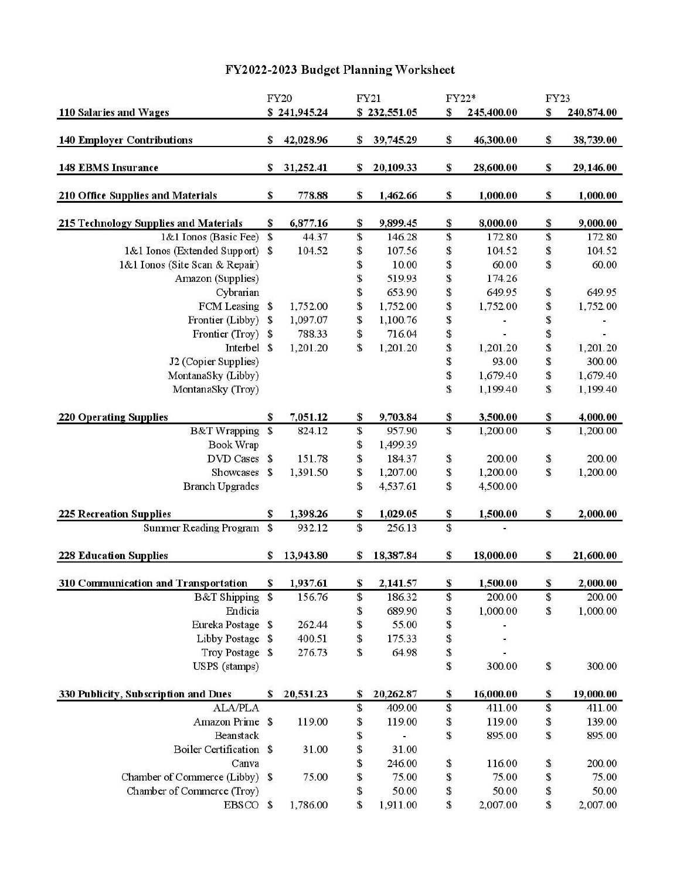# FY2022-2023 Budget Planning Worksheet

|                                       | <b>FY20</b>               |              |    | <b>FY21</b>  | FY22*       |            | FY23 |            |
|---------------------------------------|---------------------------|--------------|----|--------------|-------------|------------|------|------------|
| 110 Salaries and Wages                |                           | \$241,945.24 |    | \$232,551.05 | \$          | 245,400.00 | \$   | 240,874.00 |
| <b>140 Employer Contributions</b>     | \$                        | 42,028.96    | S  | 39,745.29    | \$          | 46,300.00  | \$   | 38,739.00  |
| <b>148 EBMS Insurance</b>             | \$                        | 31,252.41    | \$ | 20,109.33    | \$          | 28,600.00  | \$   | 29,146.00  |
| 210 Office Supplies and Materials     | \$                        | 778.88       | \$ | 1,462.66     | \$          | 1,000.00   | \$   | 1,000.00   |
| 215 Technology Supplies and Materials | \$                        | 6,877.16     | \$ | 9,899.45     | \$          | 8,000.00   | \$   | 9,000.00   |
| 1&1 Ionos (Basic Fee)                 | $\boldsymbol{\mathsf{S}}$ | 44.37        | \$ | 146.28       | \$          | 172.80     | \$   | 172.80     |
| 1&1 Ionos (Extended Support)          | \$                        | 104.52       | \$ | 107.56       | \$          | 104.52     | \$   | 104.52     |
| 1&1 Ionos (Site Scan & Repair)        |                           |              | \$ | 10.00        | \$          | 60.00      | \$   | 60.00      |
| Amazon (Supplies)                     |                           |              | \$ | 519.93       | \$          | 174.26     |      |            |
| Cybrarian                             |                           |              | \$ | 653.90       | \$          | 649.95     | \$   | 649.95     |
| FCM Leasing \$                        |                           | 1,752.00     | \$ | 1,752.00     | \$          | 1,752.00   | \$   | 1,752.00   |
| Frontier (Libby)                      | \$                        | 1,097.07     | \$ | 1,100.76     | \$          | -          | \$   |            |
| Frontier (Troy)                       | $\mathbf{\$}$             | 788.33       | \$ | 716.04       | \$          | $\omega$   | \$   |            |
| Interbel \$                           |                           | 1,201.20     | \$ | 1,201.20     | \$          | 1,201.20   | \$   | 1,201.20   |
| J2 (Copier Supplies)                  |                           |              |    |              | \$          | 93.00      | \$   | 300.00     |
| MontanaSky (Libby)                    |                           |              |    |              | \$          | 1,679.40   | \$   | 1,679.40   |
| MontanaSky (Troy)                     |                           |              |    |              | \$          | 1,199.40   | \$   | 1,199.40   |
| <b>220 Operating Supplies</b>         | \$                        | 7,051.12     | \$ | 9,703.84     | \$          | 3,500.00   | \$   | 4,000.00   |
| <b>B&amp;T</b> Wrapping               | \$                        | 824.12       | \$ | 957.90       | \$          | 1,200.00   | \$   | 1,200.00   |
| <b>Book Wrap</b>                      |                           |              | \$ | 1,499.39     |             |            |      |            |
| DVD Cases \$                          |                           | 151.78       | \$ | 184.37       | \$          | 200.00     | \$   | 200.00     |
| Showcases                             | $\mathcal{S}$             | 1,391.50     | \$ | 1,207.00     | \$          | 1,200.00   | \$   | 1,200.00   |
| <b>Branch Upgrades</b>                |                           |              | \$ | 4,537.61     | \$          | 4,500.00   |      |            |
| <b>225 Recreation Supplies</b>        | \$                        | 1,398.26     | \$ | 1,029.05     | $\mathbb S$ | 1,500.00   | \$   | 2,000.00   |
| <b>Summer Reading Program</b>         | $\mathsf{\$}$             | 932.12       | \$ | 256.13       | \$          | è,         |      |            |
| <b>228 Education Supplies</b>         | \$                        | 13,943.80    | \$ | 18,387.84    | \$          | 18,000.00  | \$   | 21,600.00  |
| 310 Communication and Transportation  | \$                        | 1,937.61     | \$ | 2,141.57     | \$          | 1,500.00   | \$   | 2,000.00   |
| B&T Shipping \$                       |                           | 156.76       | \$ | 186.32       | \$          | 200.00     | \$   | 200.00     |
| Endicia                               |                           |              | \$ | 689.90       | \$          | 1,000.00   | \$   | 1,000.00   |
| Eureka Postage \$                     |                           | 262.44       | \$ | 55.00        | \$          |            |      |            |
| Libby Postage \$                      |                           | 400.51       | \$ | 175.33       | \$          | ÷          |      |            |
| Troy Postage \$                       |                           | 276.73       | \$ | 64.98        | \$          |            |      |            |
| USPS (stamps)                         |                           |              |    |              | \$          | 300.00     | \$   | 300.00     |
| 330 Publicity, Subscription and Dues  | \$                        | 20,531.23    | \$ | 20,262.87    | \$          | 16,000.00  | \$   | 19,000.00  |
| <b>ALA/PLA</b>                        |                           |              | \$ | 409.00       | \$          | 411.00     | \$   | 411.00     |
| Amazon Prime \$                       |                           | 119.00       | \$ | 119.00       | \$          | 119.00     | \$   | 139.00     |
| Beanstack                             |                           |              | \$ |              | \$          | 895.00     | \$   | 895.00     |
| Boiler Certification \$               |                           | 31.00        | \$ | 31.00        |             |            |      |            |
| Canva                                 |                           |              | \$ | 246.00       | \$          | 116.00     | \$   | 200.00     |
| Chamber of Commerce (Libby) \$        |                           | 75.00        | \$ | 75.00        | \$          | 75.00      | \$   | 75.00      |
| Chamber of Commerce (Troy)            |                           |              | \$ | 50.00        | \$          | 50.00      | \$   | 50.00      |
| EBSCO \$                              |                           | 1,786.00     | \$ | 1,911.00     | \$          | 2,007.00   | \$   | 2,007.00   |